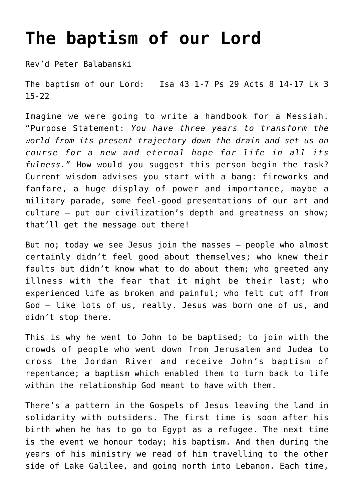## **[The baptism of our Lord](https://stjohnsadelaide.org.au/the-baptism-of-our-lord/)**

Rev'd Peter Balabanski

The baptism of our Lord: Isa 43 1-7 Ps 29 Acts 8 14-17 Lk 3 15-22

Imagine we were going to write a handbook for a Messiah. "Purpose Statement: *You have three years to transform the world from its present trajectory down the drain and set us on course for a new and eternal hope for life in all its fulness.*" How would you suggest this person begin the task? Current wisdom advises you start with a bang: fireworks and fanfare, a huge display of power and importance, maybe a military parade, some feel-good presentations of our art and culture – put our civilization's depth and greatness on show; that'll get the message out there!

But no; today we see Jesus join the masses – people who almost certainly didn't feel good about themselves; who knew their faults but didn't know what to do about them; who greeted any illness with the fear that it might be their last; who experienced life as broken and painful; who felt cut off from God – like lots of us, really. Jesus was born one of us, and didn't stop there.

This is why he went to John to be baptised; to join with the crowds of people who went down from Jerusalem and Judea to cross the Jordan River and receive John's baptism of repentance; a baptism which enabled them to turn back to life within the relationship God meant to have with them.

There's a pattern in the Gospels of Jesus leaving the land in solidarity with outsiders. The first time is soon after his birth when he has to go to Egypt as a refugee. The next time is the event we honour today; his baptism. And then during the years of his ministry we read of him travelling to the other side of Lake Galilee, and going north into Lebanon. Each time,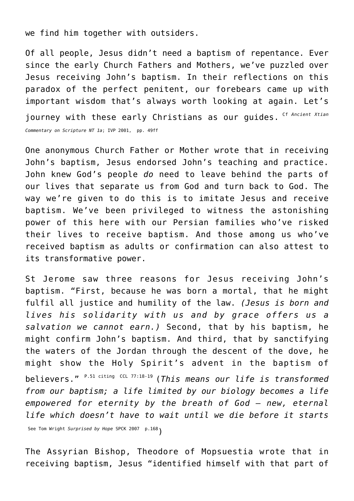we find him together with outsiders.

Of all people, Jesus didn't need a baptism of repentance. Ever since the early Church Fathers and Mothers, we've puzzled over Jesus receiving John's baptism. In their reflections on this paradox of the perfect penitent, our forebears came up with important wisdom that's always worth looking at again. Let's journey with these early Christians as our quides. Cf Ancient Xtian *Commentary on Scripture NT 1a*; IVP 2001, pp. 49ff

One anonymous Church Father or Mother wrote that in receiving John's baptism, Jesus endorsed John's teaching and practice. John knew God's people *do* need to leave behind the parts of our lives that separate us from God and turn back to God. The way we're given to do this is to imitate Jesus and receive baptism. We've been privileged to witness the astonishing power of this here with our Persian families who've risked their lives to receive baptism. And those among us who've received baptism as adults or confirmation can also attest to its transformative power.

St Jerome saw three reasons for Jesus receiving John's baptism. "First, because he was born a mortal, that he might fulfil all justice and humility of the law. *(Jesus is born and lives his solidarity with us and by grace offers us a salvation we cannot earn.)* Second, that by his baptism, he might confirm John's baptism. And third, that by sanctifying the waters of the Jordan through the descent of the dove, he might show the Holy Spirit's advent in the baptism of believers." P.51 citing CCL 77:18-19 (*This means our life is transformed from our baptism; a life limited by our biology becomes a life empowered for eternity by the breath of God – new, eternal life which doesn't have to wait until we die before it starts* See Tom Wright *Surprised by Hope* SPCK 2007 p.168)

The Assyrian Bishop, Theodore of Mopsuestia wrote that in receiving baptism, Jesus "identified himself with that part of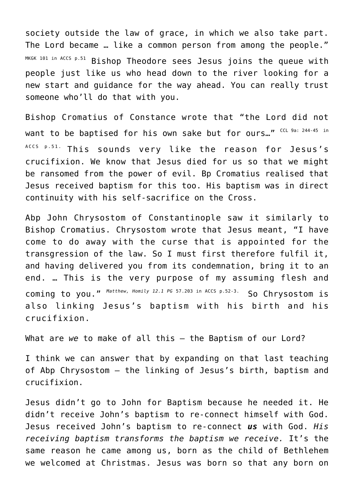society outside the law of grace, in which we also take part. The Lord became … like a common person from among the people." MKGK 101 in ACCS p.51 Bishop Theodore sees Jesus joins the queue with people just like us who head down to the river looking for a new start and guidance for the way ahead. You can really trust someone who'll do that with you.

Bishop Cromatius of Constance wrote that "the Lord did not want to be baptised for his own sake but for ours..." CCL 9a: 244-45 in ACCS p.51. This sounds very like the reason for Jesus's crucifixion. We know that Jesus died for us so that we might be ransomed from the power of evil. Bp Cromatius realised that Jesus received baptism for this too. His baptism was in direct continuity with his self-sacrifice on the Cross.

Abp John Chrysostom of Constantinople saw it similarly to Bishop Cromatius. Chrysostom wrote that Jesus meant, "I have come to do away with the curse that is appointed for the transgression of the law. So I must first therefore fulfil it, and having delivered you from its condemnation, bring it to an end. … This is the very purpose of my assuming flesh and coming to you." *Matthew, Homily 12.1 PG* 57.203 in ACCS p.52-3. So Chrysostom is also linking Jesus's baptism with his birth and his crucifixion.

What are *we* to make of all this – the Baptism of our Lord?

I think we can answer that by expanding on that last teaching of Abp Chrysostom – the linking of Jesus's birth, baptism and crucifixion.

Jesus didn't go to John for Baptism because he needed it. He didn't receive John's baptism to re-connect himself with God. Jesus received John's baptism to re-connect *us* with God. *His receiving baptism transforms the baptism we receive.* It's the same reason he came among us, born as the child of Bethlehem we welcomed at Christmas. Jesus was born so that any born on